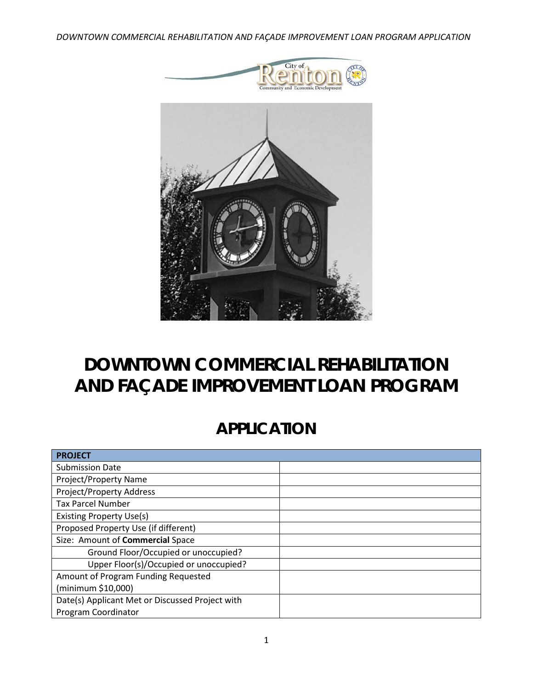*DOWNTOWN COMMERCIAL REHABILITATION AND FAÇADE IMPROVEMENT LOAN PROGRAM APPLICATION*





# **DOWNTOWN COMMERCIAL REHABILITATION AND FAÇADE IMPROVEMENT LOAN PROGRAM**

# **APPLICATION**

| <b>PROJECT</b>                                  |  |
|-------------------------------------------------|--|
| <b>Submission Date</b>                          |  |
| <b>Project/Property Name</b>                    |  |
| Project/Property Address                        |  |
| <b>Tax Parcel Number</b>                        |  |
| <b>Existing Property Use(s)</b>                 |  |
| Proposed Property Use (if different)            |  |
| Size: Amount of Commercial Space                |  |
| Ground Floor/Occupied or unoccupied?            |  |
| Upper Floor(s)/Occupied or unoccupied?          |  |
| Amount of Program Funding Requested             |  |
| (minimum \$10,000)                              |  |
| Date(s) Applicant Met or Discussed Project with |  |
| Program Coordinator                             |  |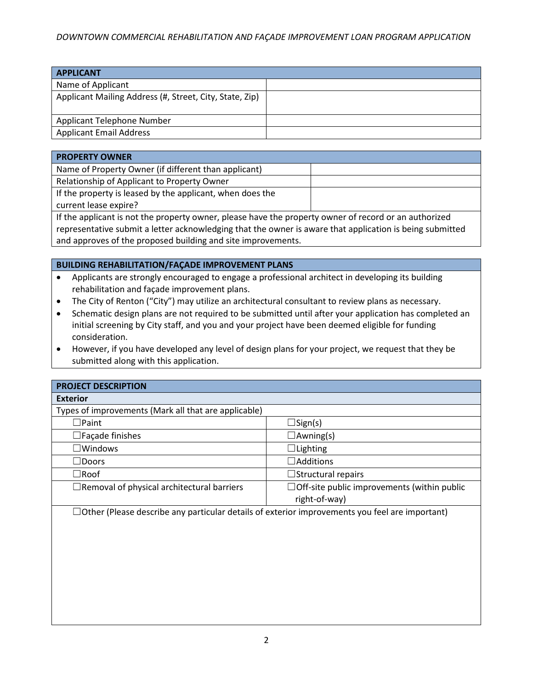### *DOWNTOWN COMMERCIAL REHABILITATION AND FAÇADE IMPROVEMENT LOAN PROGRAM APPLICATION*

| <b>APPLICANT</b>                                        |  |
|---------------------------------------------------------|--|
| Name of Applicant                                       |  |
| Applicant Mailing Address (#, Street, City, State, Zip) |  |
| Applicant Telephone Number                              |  |
| <b>Applicant Email Address</b>                          |  |

| <b>PROPERTY OWNER</b>                                     |  |
|-----------------------------------------------------------|--|
| Name of Property Owner (if different than applicant)      |  |
| Relationship of Applicant to Property Owner               |  |
| If the property is leased by the applicant, when does the |  |
| current lease expire?                                     |  |
|                                                           |  |

If the applicant is not the property owner, please have the property owner of record or an authorized representative submit a letter acknowledging that the owner is aware that application is being submitted and approves of the proposed building and site improvements.

#### **BUILDING REHABILITATION/FAÇADE IMPROVEMENT PLANS**

- Applicants are strongly encouraged to engage a professional architect in developing its building rehabilitation and façade improvement plans.
- The City of Renton ("City") may utilize an architectural consultant to review plans as necessary.
- Schematic design plans are not required to be submitted until after your application has completed an initial screening by City staff, and you and your project have been deemed eligible for funding consideration.
- However, if you have developed any level of design plans for your project, we request that they be submitted along with this application.

| <b>PROJECT DESCRIPTION</b>                                                                            |                                                    |
|-------------------------------------------------------------------------------------------------------|----------------------------------------------------|
| <b>Exterior</b>                                                                                       |                                                    |
| Types of improvements (Mark all that are applicable)                                                  |                                                    |
| $\Box$ Paint                                                                                          | $\Box$ Sign(s)                                     |
| $\square$ Façade finishes                                                                             | $\Box$ Awning(s)                                   |
| $\square$ Windows                                                                                     | $\Box$ Lighting                                    |
| $\Box$ Doors                                                                                          | $\Box$ Additions                                   |
| $\Box$ Roof                                                                                           | $\Box$ Structural repairs                          |
| $\Box$ Removal of physical architectural barriers                                                     | $\Box$ Off-site public improvements (within public |
|                                                                                                       | right-of-way)                                      |
| $\Box$ Other (Please describe any particular details of exterior improvements you feel are important) |                                                    |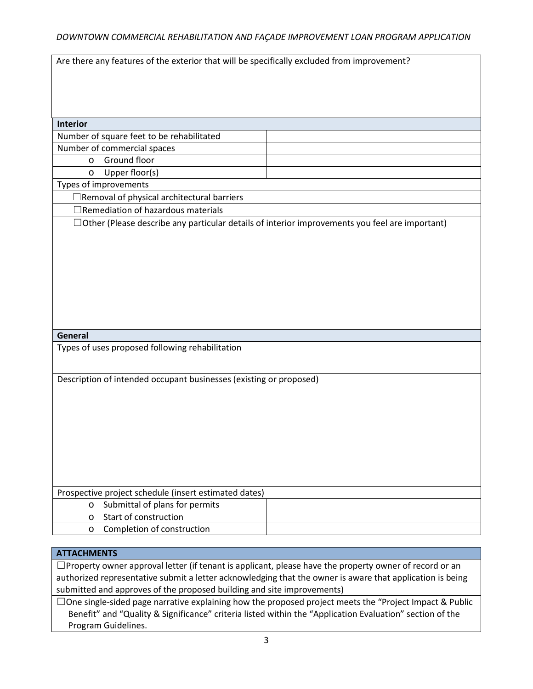| Are there any features of the exterior that will be specifically excluded from improvement?           |  |  |
|-------------------------------------------------------------------------------------------------------|--|--|
|                                                                                                       |  |  |
|                                                                                                       |  |  |
|                                                                                                       |  |  |
|                                                                                                       |  |  |
| <b>Interior</b>                                                                                       |  |  |
| Number of square feet to be rehabilitated                                                             |  |  |
| Number of commercial spaces                                                                           |  |  |
| Ground floor<br>$\circ$                                                                               |  |  |
| Upper floor(s)<br>$\circ$                                                                             |  |  |
| Types of improvements                                                                                 |  |  |
| $\Box$ Removal of physical architectural barriers                                                     |  |  |
| $\Box$ Remediation of hazardous materials                                                             |  |  |
| $\Box$ Other (Please describe any particular details of interior improvements you feel are important) |  |  |
|                                                                                                       |  |  |
|                                                                                                       |  |  |
|                                                                                                       |  |  |
|                                                                                                       |  |  |
|                                                                                                       |  |  |
|                                                                                                       |  |  |
|                                                                                                       |  |  |
|                                                                                                       |  |  |
|                                                                                                       |  |  |
| General                                                                                               |  |  |
| Types of uses proposed following rehabilitation                                                       |  |  |
|                                                                                                       |  |  |
| Description of intended occupant businesses (existing or proposed)                                    |  |  |
|                                                                                                       |  |  |
|                                                                                                       |  |  |
|                                                                                                       |  |  |
|                                                                                                       |  |  |
|                                                                                                       |  |  |
|                                                                                                       |  |  |
|                                                                                                       |  |  |
|                                                                                                       |  |  |
|                                                                                                       |  |  |
| Prospective project schedule (insert estimated dates)                                                 |  |  |
| Submittal of plans for permits<br>$\circ$                                                             |  |  |
| Start of construction<br>$\circ$                                                                      |  |  |
| Completion of construction<br>$\circ$                                                                 |  |  |

## **ATTACHMENTS**

☐Property owner approval letter (if tenant is applicant, please have the property owner of record or an authorized representative submit a letter acknowledging that the owner is aware that application is being submitted and approves of the proposed building and site improvements)

☐One single-sided page narrative explaining how the proposed project meets the "Project Impact & Public Benefit" and "Quality & Significance" criteria listed within the "Application Evaluation" section of the Program Guidelines.